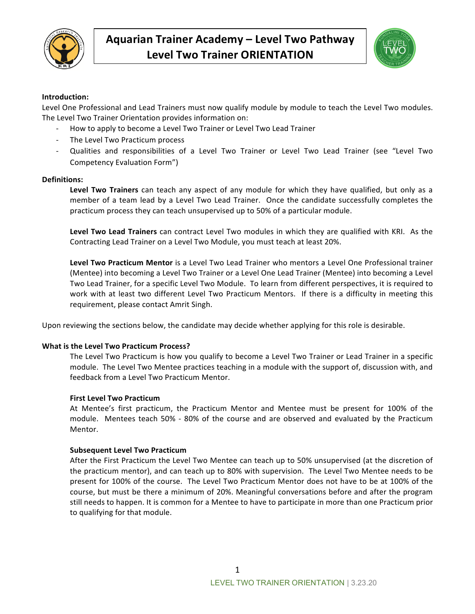



#### **Introduction:**

Level One Professional and Lead Trainers must now qualify module by module to teach the Level Two modules. The Level Two Trainer Orientation provides information on:

- How to apply to become a Level Two Trainer or Level Two Lead Trainer
- The Level Two Practicum process
- Qualities and responsibilities of a Level Two Trainer or Level Two Lead Trainer (see "Level Two Competency Evaluation Form")

#### **Definitions:**

**Level Two Trainers** can teach any aspect of any module for which they have qualified, but only as a member of a team lead by a Level Two Lead Trainer. Once the candidate successfully completes the practicum process they can teach unsupervised up to 50% of a particular module.

Level Two Lead Trainers can contract Level Two modules in which they are qualified with KRI. As the Contracting Lead Trainer on a Level Two Module, you must teach at least 20%.

Level Two Practicum Mentor is a Level Two Lead Trainer who mentors a Level One Professional trainer (Mentee) into becoming a Level Two Trainer or a Level One Lead Trainer (Mentee) into becoming a Level Two Lead Trainer, for a specific Level Two Module. To learn from different perspectives, it is required to work with at least two different Level Two Practicum Mentors. If there is a difficulty in meeting this requirement, please contact Amrit Singh.

Upon reviewing the sections below, the candidate may decide whether applying for this role is desirable.

#### **What is the Level Two Practicum Process?**

The Level Two Practicum is how you qualify to become a Level Two Trainer or Lead Trainer in a specific module. The Level Two Mentee practices teaching in a module with the support of, discussion with, and feedback from a Level Two Practicum Mentor.

#### **First Level Two Practicum**

At Mentee's first practicum, the Practicum Mentor and Mentee must be present for 100% of the module. Mentees teach 50% - 80% of the course and are observed and evaluated by the Practicum Mentor.

#### **Subsequent Level Two Practicum**

After the First Practicum the Level Two Mentee can teach up to 50% unsupervised (at the discretion of the practicum mentor), and can teach up to 80% with supervision. The Level Two Mentee needs to be present for 100% of the course. The Level Two Practicum Mentor does not have to be at 100% of the course, but must be there a minimum of 20%. Meaningful conversations before and after the program still needs to happen. It is common for a Mentee to have to participate in more than one Practicum prior to qualifying for that module.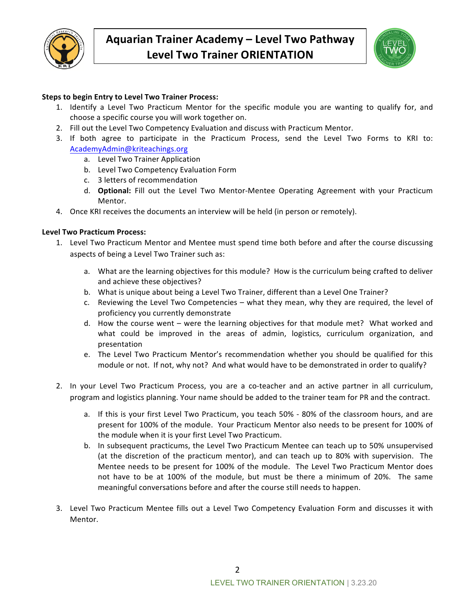

| NDALINI<br>0<br><b>TRAIN</b><br>CHE |
|-------------------------------------|
|                                     |

## **Steps to begin Entry to Level Two Trainer Process:**

- 1. Identify a Level Two Practicum Mentor for the specific module you are wanting to qualify for, and choose a specific course you will work together on.
- 2. Fill out the Level Two Competency Evaluation and discuss with Practicum Mentor.
- 3. If both agree to participate in the Practicum Process, send the Level Two Forms to KRI to: AcademyAdmin@kriteachings.org
	- a. Level Two Trainer Application
	- b. Level Two Competency Evaluation Form
	- c. 3 letters of recommendation
	- d. **Optional:** Fill out the Level Two Mentor-Mentee Operating Agreement with your Practicum Mentor.
- 4. Once KRI receives the documents an interview will be held (in person or remotely).

#### Level Two Practicum Process:

- 1. Level Two Practicum Mentor and Mentee must spend time both before and after the course discussing aspects of being a Level Two Trainer such as:
	- a. What are the learning objectives for this module? How is the curriculum being crafted to deliver and achieve these objectives?
	- b. What is unique about being a Level Two Trainer, different than a Level One Trainer?
	- c. Reviewing the Level Two Competencies what they mean, why they are required, the level of proficiency you currently demonstrate
	- d. How the course went were the learning objectives for that module met? What worked and what could be improved in the areas of admin, logistics, curriculum organization, and presentation
	- e. The Level Two Practicum Mentor's recommendation whether you should be qualified for this module or not. If not, why not? And what would have to be demonstrated in order to qualify?
- 2. In your Level Two Practicum Process, you are a co-teacher and an active partner in all curriculum, program and logistics planning. Your name should be added to the trainer team for PR and the contract.
	- a. If this is your first Level Two Practicum, you teach 50% 80% of the classroom hours, and are present for 100% of the module. Your Practicum Mentor also needs to be present for 100% of the module when it is your first Level Two Practicum.
	- b. In subsequent practicums, the Level Two Practicum Mentee can teach up to 50% unsupervised (at the discretion of the practicum mentor), and can teach up to 80% with supervision. The Mentee needs to be present for 100% of the module. The Level Two Practicum Mentor does not have to be at 100% of the module, but must be there a minimum of 20%. The same meaningful conversations before and after the course still needs to happen.
- 3. Level Two Practicum Mentee fills out a Level Two Competency Evaluation Form and discusses it with Mentor.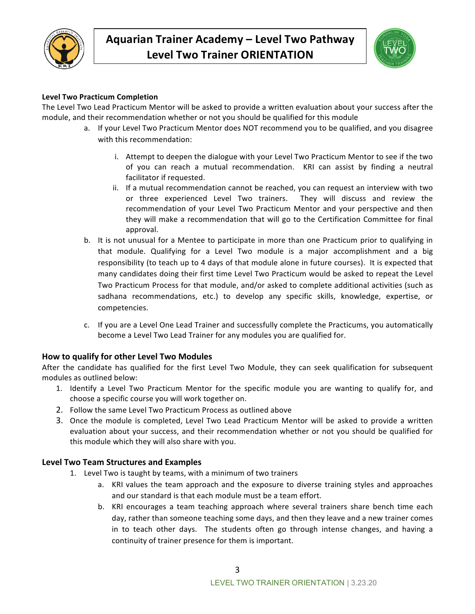



## **Level Two Practicum Completion**

The Level Two Lead Practicum Mentor will be asked to provide a written evaluation about your success after the module, and their recommendation whether or not you should be qualified for this module

- a. If your Level Two Practicum Mentor does NOT recommend you to be qualified, and you disagree with this recommendation:
	- i. Attempt to deepen the dialogue with your Level Two Practicum Mentor to see if the two of you can reach a mutual recommendation. KRI can assist by finding a neutral facilitator if requested.
	- ii. If a mutual recommendation cannot be reached, you can request an interview with two or three experienced Level Two trainers. They will discuss and review the recommendation of your Level Two Practicum Mentor and your perspective and then they will make a recommendation that will go to the Certification Committee for final approval.
- b. It is not unusual for a Mentee to participate in more than one Practicum prior to qualifying in that module. Qualifying for a Level Two module is a major accomplishment and a big responsibility (to teach up to 4 days of that module alone in future courses). It is expected that many candidates doing their first time Level Two Practicum would be asked to repeat the Level Two Practicum Process for that module, and/or asked to complete additional activities (such as sadhana recommendations, etc.) to develop any specific skills, knowledge, expertise, or competencies.
- c. If you are a Level One Lead Trainer and successfully complete the Practicums, you automatically become a Level Two Lead Trainer for any modules you are qualified for.

## **How to qualify for other Level Two Modules**

After the candidate has qualified for the first Level Two Module, they can seek qualification for subsequent modules as outlined below:

- 1. Identify a Level Two Practicum Mentor for the specific module you are wanting to qualify for, and choose a specific course you will work together on.
- 2. Follow the same Level Two Practicum Process as outlined above
- 3. Once the module is completed, Level Two Lead Practicum Mentor will be asked to provide a written evaluation about your success, and their recommendation whether or not you should be qualified for this module which they will also share with you.

## **Level Two Team Structures and Examples**

- 1. Level Two is taught by teams, with a minimum of two trainers
	- a. KRI values the team approach and the exposure to diverse training styles and approaches and our standard is that each module must be a team effort.
	- b. KRI encourages a team teaching approach where several trainers share bench time each day, rather than someone teaching some days, and then they leave and a new trainer comes in to teach other days. The students often go through intense changes, and having a continuity of trainer presence for them is important.